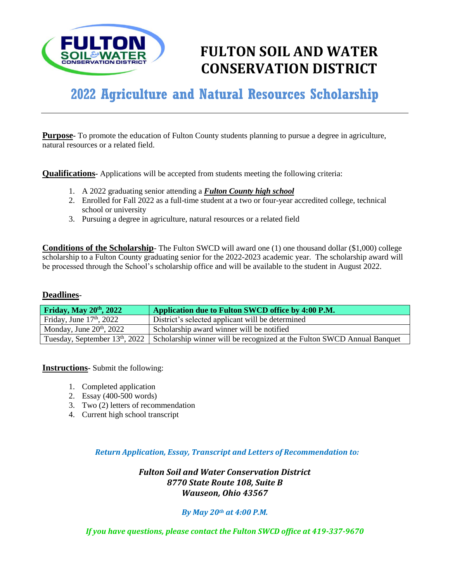

# **FULTON SOIL AND WATER CONSERVATION DISTRICT**

# **2022 Agriculture and Natural Resources Scholarship**

**Purpose** To promote the education of Fulton County students planning to pursue a degree in agriculture, natural resources or a related field.

**Qualifications-** Applications will be accepted from students meeting the following criteria:

- 1. A 2022 graduating senior attending a *Fulton County high school*
- 2. Enrolled for Fall 2022 as a full-time student at a two or four-year accredited college, technical school or university
- 3. Pursuing a degree in agriculture, natural resources or a related field

**Conditions of the Scholarship**- The Fulton SWCD will award one (1) one thousand dollar (\$1,000) college scholarship to a Fulton County graduating senior for the 2022-2023 academic year. The scholarship award will be processed through the School's scholarship office and will be available to the student in August 2022.

# **Deadlines-**

| Friday, May $20th$ , 2022  | Application due to Fulton SWCD office by 4:00 P.M.                                                         |
|----------------------------|------------------------------------------------------------------------------------------------------------|
| Friday, June $17th$ , 2022 | District's selected applicant will be determined                                                           |
| Monday, June $20th$ , 2022 | Scholarship award winner will be notified                                                                  |
|                            | Tuesday, September $13th$ , 2022   Scholarship winner will be recognized at the Fulton SWCD Annual Banquet |

**Instructions-** Submit the following:

- 1. Completed application
- 2. Essay (400-500 words)
- 3. Two (2) letters of recommendation
- 4. Current high school transcript

*Return Application, Essay, Transcript and Letters of Recommendation to:*

*Fulton Soil and Water Conservation District 8770 State Route 108, Suite B Wauseon, Ohio 43567*

# *By May 20th at 4:00 P.M.*

*If you have questions, please contact the Fulton SWCD office at 419-337-9670*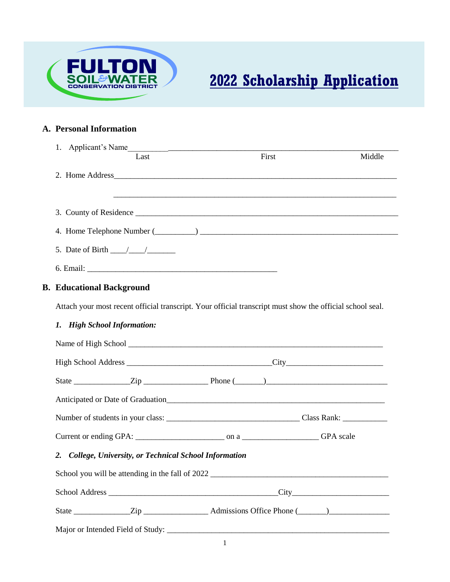

# **2022 Scholarship Application**

# **A. Personal Information**

| 1. Applicant's Name<br>Last                                                                                                                                                                                                   |                                                      | First | Middle |
|-------------------------------------------------------------------------------------------------------------------------------------------------------------------------------------------------------------------------------|------------------------------------------------------|-------|--------|
|                                                                                                                                                                                                                               |                                                      |       |        |
|                                                                                                                                                                                                                               |                                                      |       |        |
|                                                                                                                                                                                                                               |                                                      |       |        |
|                                                                                                                                                                                                                               |                                                      |       |        |
| 4. Home Telephone Number (Changel and Communication of the Telephone Number (Changel and Communication of the Telephone Number (Changel and Communication of the Telephone Number (Changel and Communication of the Telephone |                                                      |       |        |
| 5. Date of Birth $\frac{\sqrt{2}}{2}$                                                                                                                                                                                         |                                                      |       |        |
|                                                                                                                                                                                                                               |                                                      |       |        |
| <b>B. Educational Background</b>                                                                                                                                                                                              |                                                      |       |        |
| Attach your most recent official transcript. Your official transcript must show the official school seal.                                                                                                                     |                                                      |       |        |
|                                                                                                                                                                                                                               |                                                      |       |        |
| 1. High School Information:                                                                                                                                                                                                   |                                                      |       |        |
|                                                                                                                                                                                                                               |                                                      |       |        |
|                                                                                                                                                                                                                               |                                                      |       |        |
| State $\frac{\text{Zip}}{\text{Zip}}$                                                                                                                                                                                         |                                                      |       |        |
|                                                                                                                                                                                                                               |                                                      |       |        |
|                                                                                                                                                                                                                               |                                                      |       |        |
|                                                                                                                                                                                                                               |                                                      |       |        |
| 2.                                                                                                                                                                                                                            | College, University, or Technical School Information |       |        |
|                                                                                                                                                                                                                               |                                                      |       |        |
|                                                                                                                                                                                                                               |                                                      |       |        |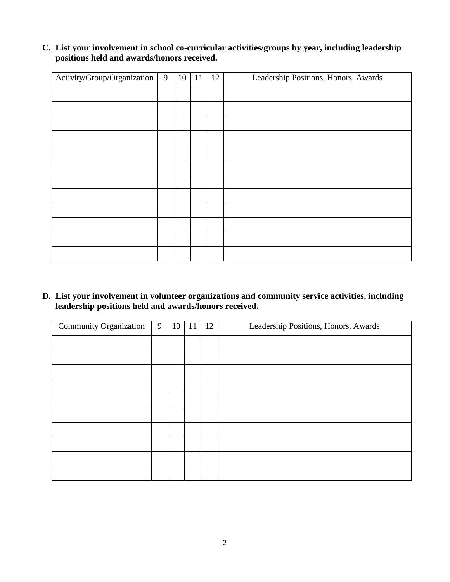# **C. List your involvement in school co-curricular activities/groups by year, including leadership positions held and awards/honors received.**

| Activity/Group/Organization | 9 | 10 | 11 | 12 | Leadership Positions, Honors, Awards |
|-----------------------------|---|----|----|----|--------------------------------------|
|                             |   |    |    |    |                                      |
|                             |   |    |    |    |                                      |
|                             |   |    |    |    |                                      |
|                             |   |    |    |    |                                      |
|                             |   |    |    |    |                                      |
|                             |   |    |    |    |                                      |
|                             |   |    |    |    |                                      |
|                             |   |    |    |    |                                      |
|                             |   |    |    |    |                                      |
|                             |   |    |    |    |                                      |
|                             |   |    |    |    |                                      |
|                             |   |    |    |    |                                      |

**D. List your involvement in volunteer organizations and community service activities, including leadership positions held and awards/honors received.**

| <b>Community Organization</b> | 9 | 10 | 11 | 12 | Leadership Positions, Honors, Awards |
|-------------------------------|---|----|----|----|--------------------------------------|
|                               |   |    |    |    |                                      |
|                               |   |    |    |    |                                      |
|                               |   |    |    |    |                                      |
|                               |   |    |    |    |                                      |
|                               |   |    |    |    |                                      |
|                               |   |    |    |    |                                      |
|                               |   |    |    |    |                                      |
|                               |   |    |    |    |                                      |
|                               |   |    |    |    |                                      |
|                               |   |    |    |    |                                      |